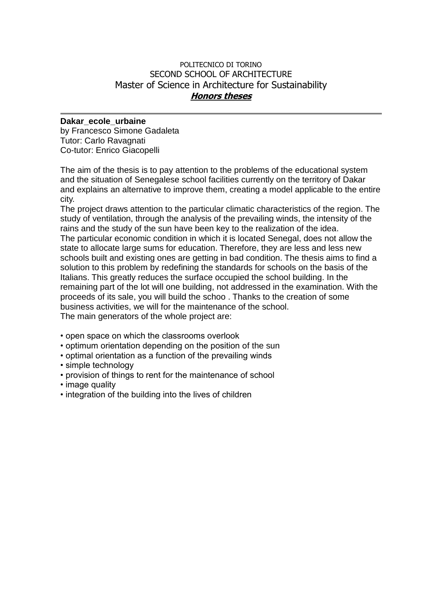## POLITECNICO DI TORINO SECOND SCHOOL OF ARCHITECTURE Master of Science in Architecture for Sustainability **Honors theses**

## **Dakar\_ecole\_urbaine**

by Francesco Simone Gadaleta Tutor: Carlo Ravagnati Co-tutor: Enrico Giacopelli

The aim of the thesis is to pay attention to the problems of the educational system and the situation of Senegalese school facilities currently on the territory of Dakar and explains an alternative to improve them, creating a model applicable to the entire city.

The project draws attention to the particular climatic characteristics of the region. The study of ventilation, through the analysis of the prevailing winds, the intensity of the rains and the study of the sun have been key to the realization of the idea.

The particular economic condition in which it is located Senegal, does not allow the state to allocate large sums for education. Therefore, they are less and less new schools built and existing ones are getting in bad condition. The thesis aims to find a solution to this problem by redefining the standards for schools on the basis of the Italians. This greatly reduces the surface occupied the school building. In the remaining part of the lot will one building, not addressed in the examination. With the proceeds of its sale, you will build the schoo . Thanks to the creation of some business activities, we will for the maintenance of the school.

The main generators of the whole project are:

- open space on which the classrooms overlook
- optimum orientation depending on the position of the sun
- optimal orientation as a function of the prevailing winds
- simple technology
- provision of things to rent for the maintenance of school
- image quality
- integration of the building into the lives of children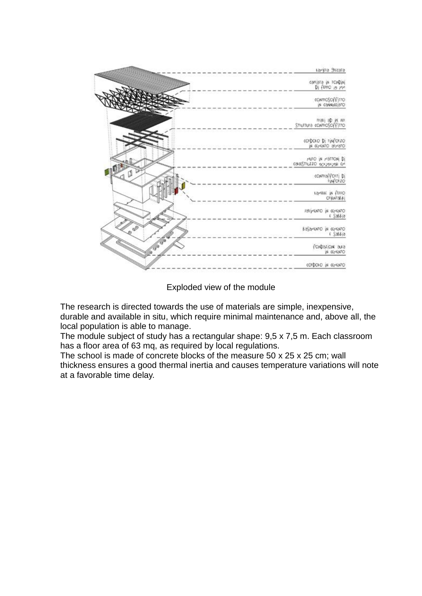

Exploded view of the module

The research is directed towards the use of materials are simple, inexpensive, durable and available in situ, which require minimal maintenance and, above all, the local population is able to manage.

The module subject of study has a rectangular shape: 9,5 x 7,5 m. Each classroom has a floor area of 63 mq, as required by local regulations.

The school is made of concrete blocks of the measure 50 x 25 x 25 cm; wall thickness ensures a good thermal inertia and causes temperature variations will note at a favorable time delay.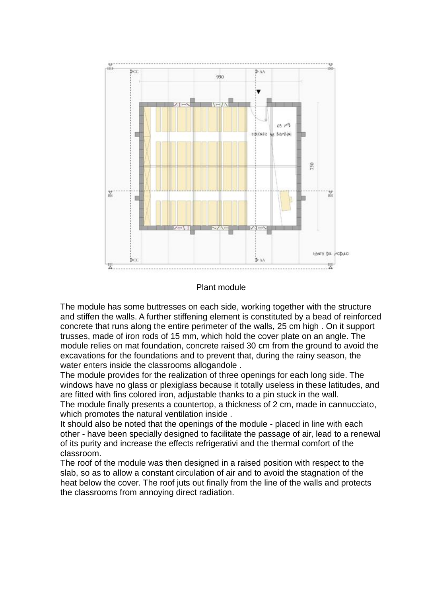

## Plant module

The module has some buttresses on each side, working together with the structure and stiffen the walls. A further stiffening element is constituted by a bead of reinforced concrete that runs along the entire perimeter of the walls, 25 cm high . On it support trusses, made of iron rods of 15 mm, which hold the cover plate on an angle. The module relies on mat foundation, concrete raised 30 cm from the ground to avoid the excavations for the foundations and to prevent that, during the rainy season, the water enters inside the classrooms allogandole .

The module provides for the realization of three openings for each long side. The windows have no glass or plexiglass because it totally useless in these latitudes, and are fitted with fins colored iron, adjustable thanks to a pin stuck in the wall.

The module finally presents a countertop, a thickness of 2 cm, made in cannucciato, which promotes the natural ventilation inside .

It should also be noted that the openings of the module - placed in line with each other - have been specially designed to facilitate the passage of air, lead to a renewal of its purity and increase the effects refrigerativi and the thermal comfort of the classroom.

The roof of the module was then designed in a raised position with respect to the slab, so as to allow a constant circulation of air and to avoid the stagnation of the heat below the cover. The roof juts out finally from the line of the walls and protects the classrooms from annoying direct radiation.